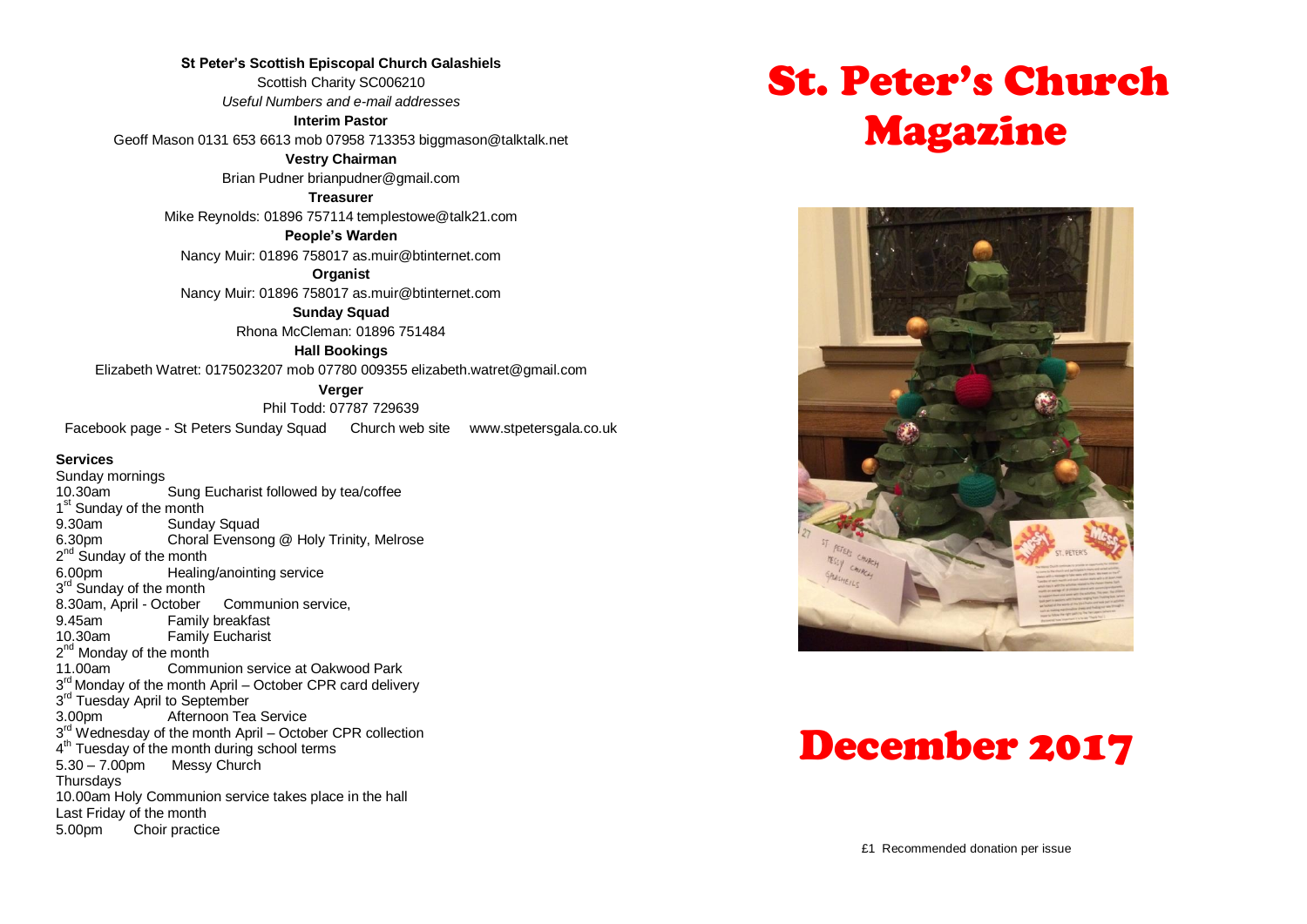**St Peter's Scottish Episcopal Church Galashiels** Scottish Charity SC006210 *Useful Numbers and e-mail addresses* **Interim Pastor**

Geoff Mason 0131 653 6613 mob 07958 713353 biggmason@talktalk.net

**Vestry Chairman**

Brian Pudner brianpudner@gmail.com

**Treasurer**

Mike Reynolds: 01896 757114 templestowe@talk21.com

**People's Warden**

Nancy Muir: 01896 758017 as.muir@btinternet.com

**Organist** Nancy Muir: 01896 758017 as.muir@btinternet.com

> **Sunday Squad** Rhona McCleman: 01896 751484

> > **Hall Bookings**

Elizabeth Watret: 0175023207 mob 07780 009355 elizabeth.watret@gmail.com

**Verger**

Phil Todd: 07787 729639 Facebook page - St Peters Sunday Squad Church web site www.stpetersgala.co.uk

#### **Services**

Sunday mornings 10.30am Sung Eucharist followed by tea/coffee 1<sup>st</sup> Sunday of the month 9.30am Sunday Squad<br>6.30pm Choral Evensor Choral Evensong @ Holy Trinity, Melrose 2<sup>nd</sup> Sunday of the month 6.00pm Healing/anointing service 3<sup>rd</sup> Sunday of the month 8.30am, April - October Communion service, 9.45am Family breakfast<br>10.30am Family Fucharist **Family Eucharist** 2<sup>nd</sup> Monday of the month 11.00am Communion service at Oakwood Park 3<sup>rd</sup> Monday of the month April – October CPR card delivery 3<sup>rd</sup> Tuesday April to September 3.00pm Afternoon Tea Service 3<sup>rd</sup> Wednesday of the month April – October CPR collection 4<sup>th</sup> Tuesday of the month during school terms 5.30 – 7.00pm Messy Church **Thursdavs** 10.00am Holy Communion service takes place in the hall Last Friday of the month 5.00pm Choir practice

# St. Peter's Church Magazine



# December 2017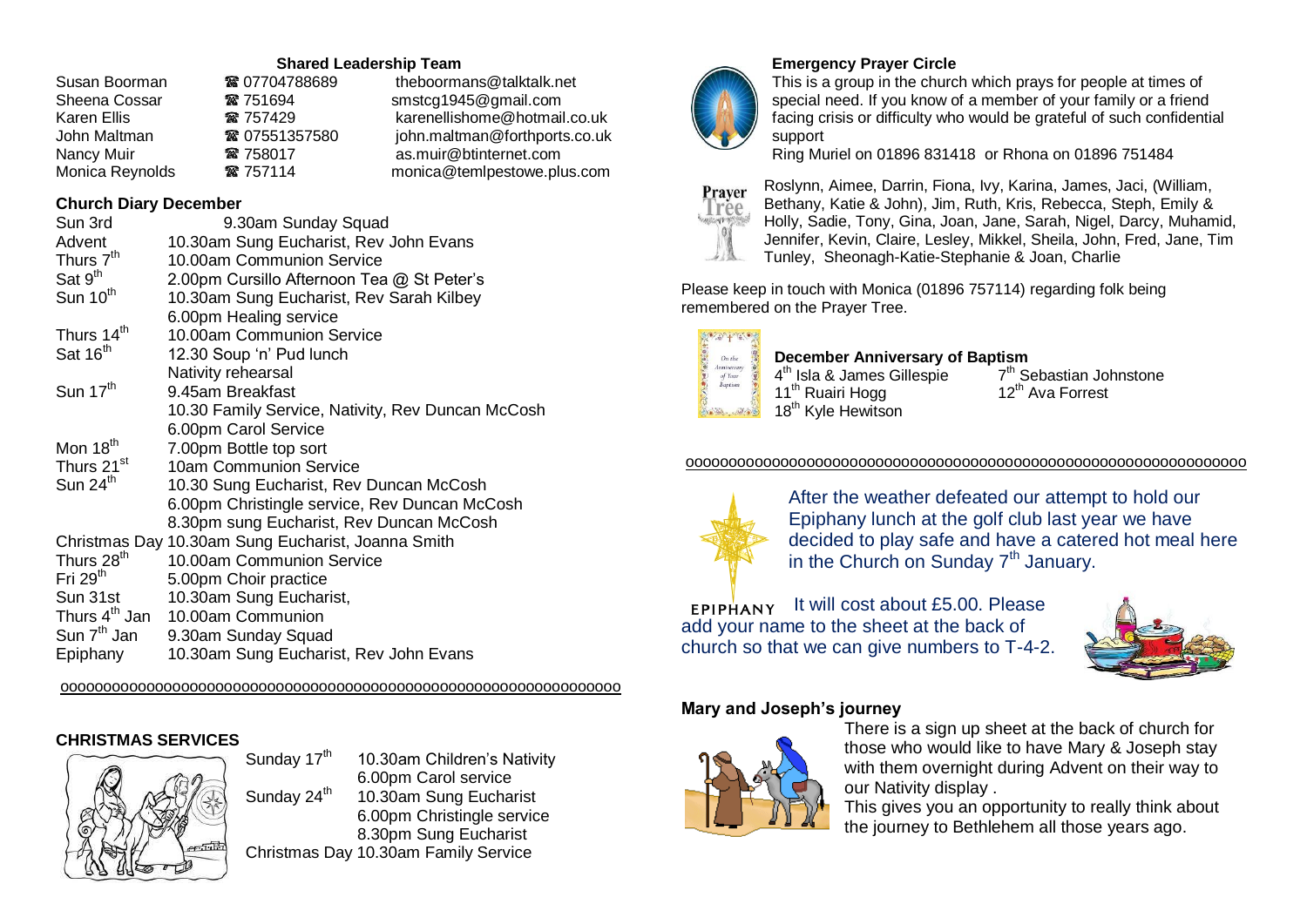#### **Shared Leadership Team**

| ☎ 07704788689 | theboormans@talktalk.net      |
|---------------|-------------------------------|
| ☎ 751694      | smstcg1945@gmail.com          |
| ☎ 757429      | karenellishome@hotmail.co.uk  |
| ■ 07551357580 | john.maltman@forthports.co.uk |
| ☎ 758017      | as.muir@btinternet.com        |
| ☎ 757114      | monica@temlpestowe.plus.com   |
|               |                               |

## **Church Diary December**

| Sun 3rd                   | 9.30am Sunday Squad                                |
|---------------------------|----------------------------------------------------|
| Advent                    | 10.30am Sung Eucharist, Rev John Evans             |
| Thurs 7 <sup>th</sup>     | 10.00am Communion Service                          |
| Sat 9 <sup>th</sup>       | 2.00pm Cursillo Afternoon Tea @ St Peter's         |
| Sun 10 <sup>th</sup>      | 10.30am Sung Eucharist, Rev Sarah Kilbey           |
|                           | 6.00pm Healing service                             |
| Thurs 14 <sup>th</sup>    | 10.00am Communion Service                          |
| Sat 16 <sup>th</sup>      | 12.30 Soup 'n' Pud lunch                           |
|                           | Nativity rehearsal                                 |
| Sun $17th$                | 9.45am Breakfast                                   |
|                           | 10.30 Family Service, Nativity, Rev Duncan McCosh  |
|                           | 6.00pm Carol Service                               |
| Mon 18 <sup>th</sup>      | 7.00pm Bottle top sort                             |
| Thurs 21 <sup>st</sup>    | 10am Communion Service                             |
| Sun 24 <sup>th</sup>      | 10.30 Sung Eucharist, Rev Duncan McCosh            |
|                           | 6.00pm Christingle service, Rev Duncan McCosh      |
|                           | 8.30pm sung Eucharist, Rev Duncan McCosh           |
|                           | Christmas Day 10.30am Sung Eucharist, Joanna Smith |
| Thurs 28 <sup>th</sup>    | 10.00am Communion Service                          |
| Fri 29 <sup>th</sup>      | 5.00pm Choir practice                              |
| Sun 31st                  | 10.30am Sung Eucharist,                            |
| Thurs 4 <sup>th</sup> Jan | 10.00am Communion                                  |
| Sun $7th$ Jan             | 9.30am Sunday Squad                                |
| Epiphany                  | 10.30am Sung Eucharist, Rev John Evans             |

ooooooooooooooooooooooooooooooooooooooooooooooooooooooooooooooooo

# **CHRISTMAS SERVICES**



Sunday  $17<sup>th</sup>$  10.30am Children's Nativity Sunday 24<sup>th</sup>

 6.00pm Carol service 10.30am Sung Eucharist 6.00pm Christingle service 8.30pm Sung Eucharist



## **Emergency Prayer Circle**

This is a group in the church which prays for people at times of special need. If you know of a member of your family or a friend facing crisis or difficulty who would be grateful of such confidential support

Ring Muriel on 01896 831418 or Rhona on 01896 751484



Roslynn, Aimee, Darrin, Fiona, Ivy, Karina, James, Jaci, (William, Bethany, Katie & John), Jim, Ruth, Kris, Rebecca, Steph, Emily & Holly, Sadie, Tony, Gina, Joan, Jane, Sarah, Nigel, Darcy, Muhamid, Jennifer, Kevin, Claire, Lesley, Mikkel, Sheila, John, Fred, Jane, Tim Tunley, Sheonagh-Katie-Stephanie & Joan, Charlie

Please keep in touch with Monica (01896 757114) regarding folk being remembered on the Prayer Tree.



#### **December Anniversary of Baptism**

4<sup>th</sup> Isla & James Gillespie 7  $7<sup>th</sup>$  Sebastian Johnstone<br>12<sup>th</sup> Ava Forrest

#### ooooooooooooooooooooooooooooooooooooooooooooooooooooooooooooooooo



After the weather defeated our attempt to hold our Epiphany lunch at the golf club last year we have decided to play safe and have a catered hot meal here in the Church on Sunday 7<sup>th</sup> January.

 $EPIPHANY$  It will cost about £5.00. Please add your name to the sheet at the back of church so that we can give numbers to T-4-2.



#### **Mary and Joseph's journey**



There is a sign up sheet at the back of church for those who would like to have Mary & Joseph stay with them overnight during Advent on their way to our Nativity display .

This gives you an opportunity to really think about the journey to Bethlehem all those years ago.

Christmas Day 10.30am Family Service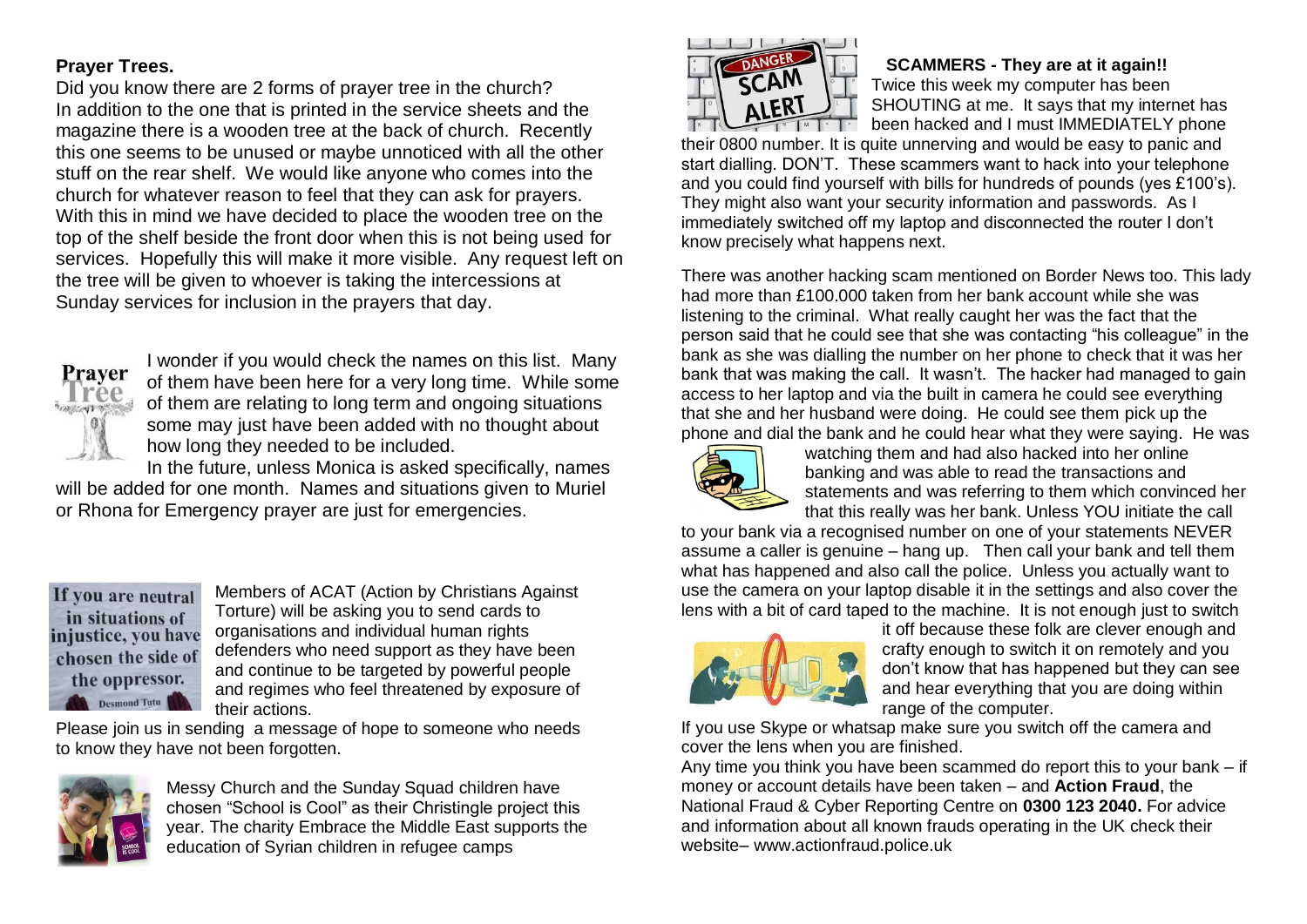# **Prayer Trees.**

Did you know there are 2 forms of prayer tree in the church? In addition to the one that is printed in the service sheets and the magazine there is a wooden tree at the back of church. Recently this one seems to be unused or maybe unnoticed with all the other stuff on the rear shelf. We would like anyone who comes into the church for whatever reason to feel that they can ask for prayers. With this in mind we have decided to place the wooden tree on the top of the shelf beside the front door when this is not being used for services. Hopefully this will make it more visible. Any request left on the tree will be given to whoever is taking the intercessions at Sunday services for inclusion in the prayers that day.



I wonder if you would check the names on this list. Many of them have been here for a very long time. While some of them are relating to long term and ongoing situations some may just have been added with no thought about how long they needed to be included.

In the future, unless Monica is asked specifically, names will be added for one month. Names and situations given to Muriel or Rhona for Emergency prayer are just for emergencies.

If you are neutral in situations of injustice, you have chosen the side of the oppressor. Desmond Tutu

Members of ACAT (Action by Christians Against Torture) will be asking you to send cards to organisations and individual human rights defenders who need support as they have been and continue to be targeted by powerful people and regimes who feel threatened by exposure of their actions.

Please join us in sending a message of hope to someone who needs to know they have not been forgotten.



Messy Church and the Sunday Squad children have chosen "School is Cool" as their Christingle project this year. The charity Embrace the Middle East supports the education of Syrian children in refugee camps



#### **SCAMMERS - They are at it again!!** Twice this week my computer has been SHOUTING at me. It says that my internet has been hacked and I must IMMEDIATELY phone

their 0800 number. It is quite unnerving and would be easy to panic and start dialling. DON'T. These scammers want to hack into your telephone and you could find yourself with bills for hundreds of pounds (yes £100's). They might also want your security information and passwords. As I immediately switched off my laptop and disconnected the router I don't know precisely what happens next.

There was another hacking scam mentioned on Border News too. This lady had more than £100.000 taken from her bank account while she was listening to the criminal. What really caught her was the fact that the person said that he could see that she was contacting "his colleague" in the bank as she was dialling the number on her phone to check that it was her bank that was making the call. It wasn't. The hacker had managed to gain access to her laptop and via the built in camera he could see everything that she and her husband were doing. He could see them pick up the phone and dial the bank and he could hear what they were saying. He was



watching them and had also hacked into her online banking and was able to read the transactions and statements and was referring to them which convinced her that this really was her bank. Unless YOU initiate the call

to your bank via a recognised number on one of your statements NEVER assume a caller is genuine – hang up. Then call your bank and tell them what has happened and also call the police. Unless you actually want to use the camera on your laptop disable it in the settings and also cover the lens with a bit of card taped to the machine. It is not enough just to switch



it off because these folk are clever enough and crafty enough to switch it on remotely and you don't know that has happened but they can see and hear everything that you are doing within range of the computer.

If you use Skype or whatsap make sure you switch off the camera and cover the lens when you are finished.

Any time you think you have been scammed do report this to your bank – if money or account details have been taken – and **Action Fraud**, the National Fraud & Cyber Reporting Centre on **0300 123 2040.** For advice and information about all known frauds operating in the UK check their website– www.actionfraud.police.uk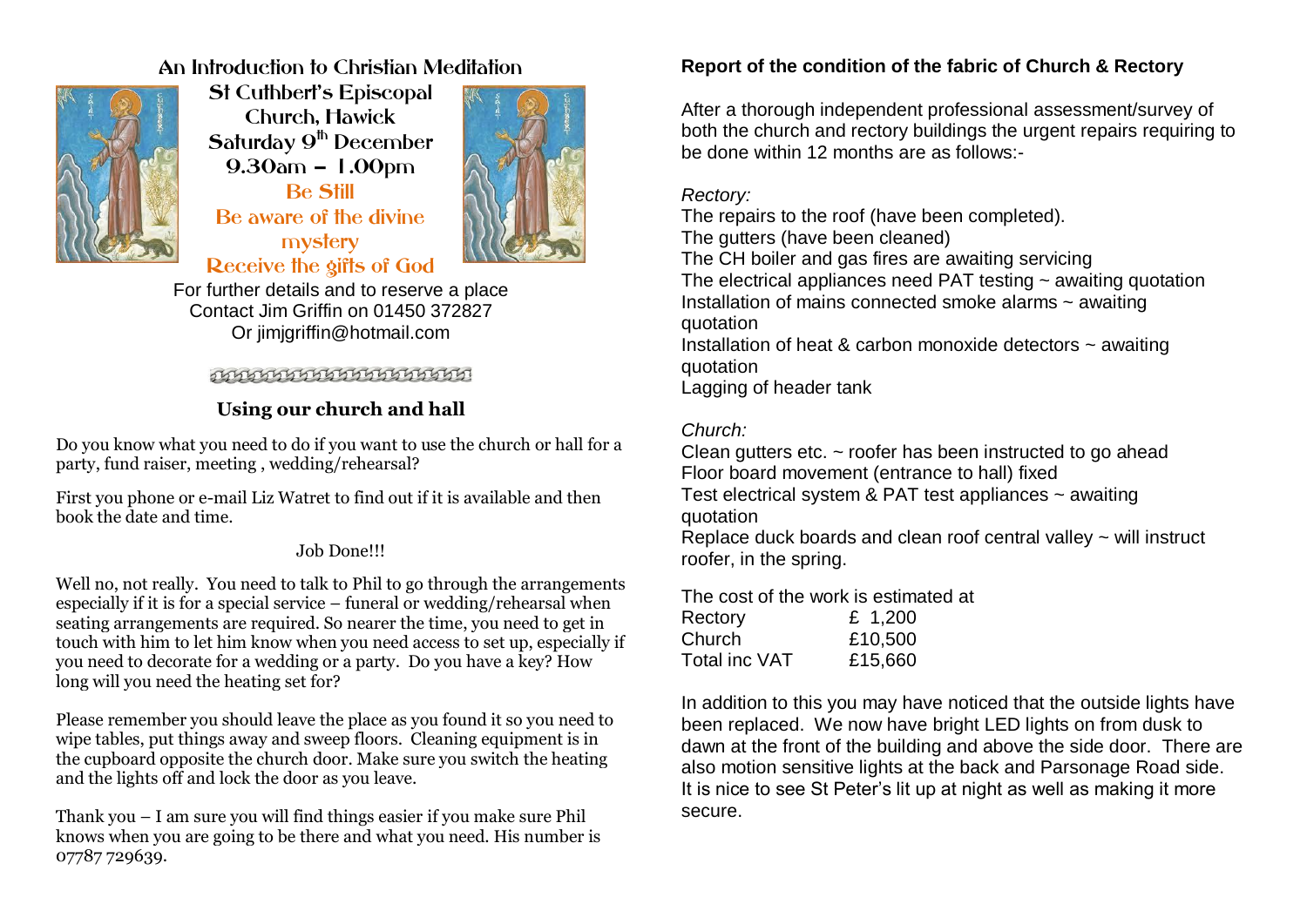# An Introduction to Christian Meditation



St Cuthbert's Episcopal Church, Hawick Saturday 9<sup>th</sup> December 9.30am – 1.00pm Be Still Be aware of the divine mystery Receive the gifts of God



For further details and to reserve a place Contact Jim Griffin on 01450 372827 Or jimjgriffin@hotmail.com

## **THISIHIHIHIHIHIHIHIHI**

# **Using our church and hall**

Do you know what you need to do if you want to use the church or hall for a party, fund raiser, meeting , wedding/rehearsal?

First you phone or e-mail Liz Watret to find out if it is available and then book the date and time.

### Job Done!!!

Well no, not really. You need to talk to Phil to go through the arrangements especially if it is for a special service – funeral or wedding/rehearsal when seating arrangements are required. So nearer the time, you need to get in touch with him to let him know when you need access to set up, especially if you need to decorate for a wedding or a party. Do you have a key? How long will you need the heating set for?

Please remember you should leave the place as you found it so you need to wipe tables, put things away and sweep floors. Cleaning equipment is in the cupboard opposite the church door. Make sure you switch the heating and the lights off and lock the door as you leave.

Thank you – I am sure you will find things easier if you make sure Phil knows when you are going to be there and what you need. His number is 07787 729639.

# **Report of the condition of the fabric of Church & Rectory**

After a thorough independent professional assessment/survey of both the church and rectory buildings the urgent repairs requiring to be done within 12 months are as follows:-

### *Rectory:*

The repairs to the roof (have been completed).

The gutters (have been cleaned)

The CH boiler and gas fires are awaiting servicing The electrical appliances need PAT testing  $\sim$  awaiting quotation Installation of mains connected smoke alarms ~ awaiting quotation

Installation of heat & carbon monoxide detectors  $\sim$  awaiting quotation

Lagging of header tank

## *Church:*

Clean gutters etc. ~ roofer has been instructed to go ahead Floor board movement (entrance to hall) fixed Test electrical system & PAT test appliances  $\sim$  awaiting

quotation

Replace duck boards and clean roof central valley  $\sim$  will instruct roofer, in the spring.

The cost of the work is estimated at

| Rectory       | £ $1,200$ |
|---------------|-----------|
| Church        | £10,500   |
| Total inc VAT | £15,660   |

In addition to this you may have noticed that the outside lights have been replaced. We now have bright LED lights on from dusk to dawn at the front of the building and above the side door. There are also motion sensitive lights at the back and Parsonage Road side. It is nice to see St Peter's lit up at night as well as making it more secure.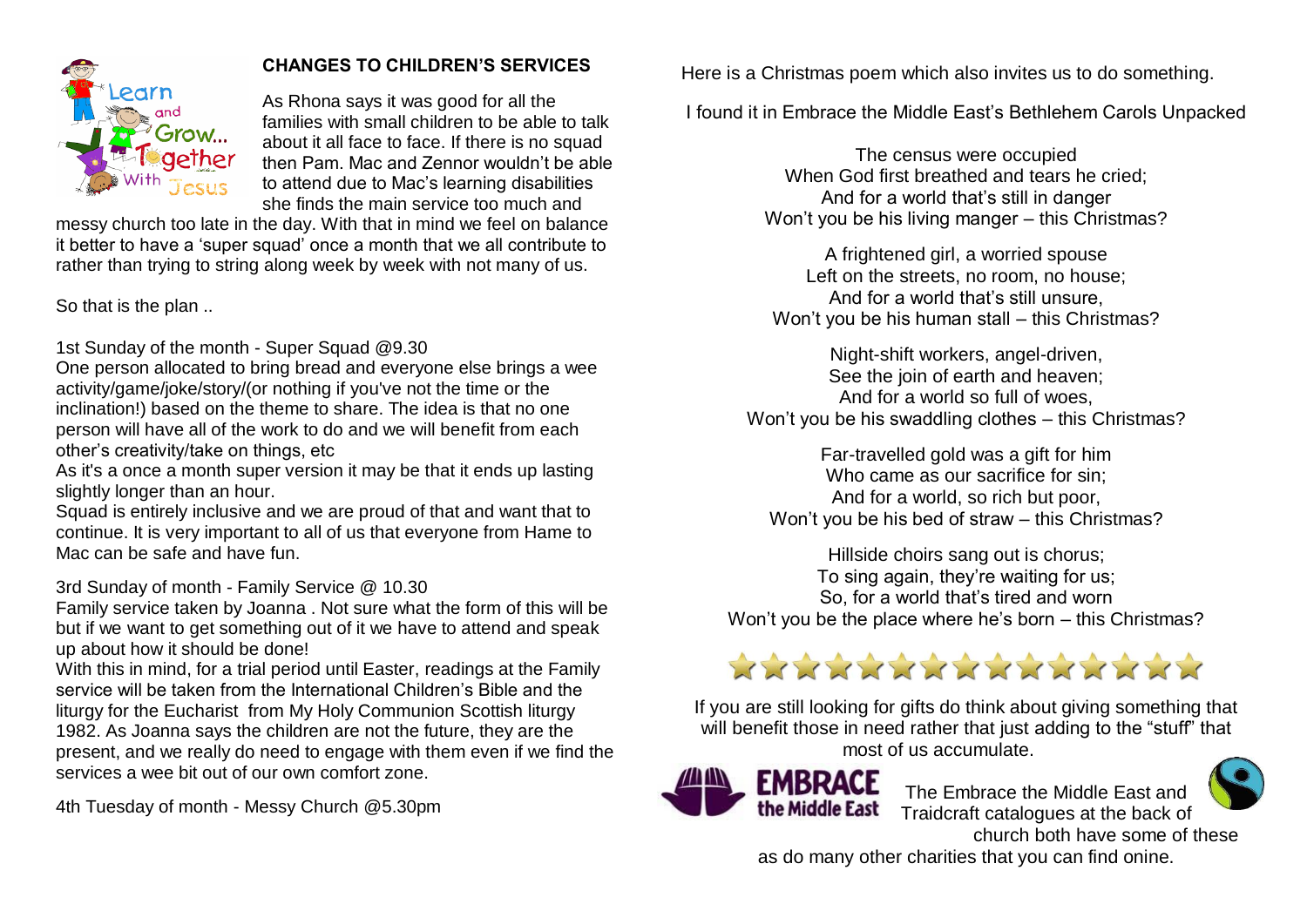

# **CHANGES TO CHILDREN'S SERVICES**

As Rhona says it was good for all the families with small children to be able to talk about it all face to face. If there is no squad then Pam. Mac and Zennor wouldn't be able to attend due to Mac's learning disabilities she finds the main service too much and

messy church too late in the day. With that in mind we feel on balance it better to have a 'super squad' once a month that we all contribute to rather than trying to string along week by week with not many of us.

So that is the plan ..

1st Sunday of the month - Super Squad @9.30

One person allocated to bring bread and everyone else brings a wee activity/game/joke/story/(or nothing if you've not the time or the inclination!) based on the theme to share. The idea is that no one person will have all of the work to do and we will benefit from each other's creativity/take on things, etc

As it's a once a month super version it may be that it ends up lasting slightly longer than an hour.

Squad is entirely inclusive and we are proud of that and want that to continue. It is very important to all of us that everyone from Hame to Mac can be safe and have fun.

3rd Sunday of month - Family Service @ 10.30

Family service taken by Joanna . Not sure what the form of this will be but if we want to get something out of it we have to attend and speak up about how it should be done!

With this in mind, for a trial period until Easter, readings at the Family service will be taken from the International Children's Bible and the liturgy for the Eucharist from My Holy Communion Scottish liturgy 1982. As Joanna says the children are not the future, they are the present, and we really do need to engage with them even if we find the services a wee bit out of our own comfort zone.

4th Tuesday of month - Messy Church @5.30pm

Here is a Christmas poem which also invites us to do something.

I found it in Embrace the Middle East's Bethlehem Carols Unpacked

The census were occupied When God first breathed and tears he cried; And for a world that's still in danger Won't you be his living manger – this Christmas?

A frightened girl, a worried spouse Left on the streets, no room, no house; And for a world that's still unsure, Won't you be his human stall – this Christmas?

Night-shift workers, angel-driven, See the join of earth and heaven; And for a world so full of woes, Won't you be his swaddling clothes – this Christmas?

Far-travelled gold was a gift for him Who came as our sacrifice for sin; And for a world, so rich but poor, Won't you be his bed of straw – this Christmas?

Hillside choirs sang out is chorus; To sing again, they're waiting for us; So, for a world that's tired and worn Won't you be the place where he's born – this Christmas?

# XXXXXXXXXXXXXX

If you are still looking for gifts do think about giving something that will benefit those in need rather that just adding to the "stuff" that most of us accumulate.



The Embrace the Middle East and Traidcraft catalogues at the back of church both have some of these

as do many other charities that you can find onine.